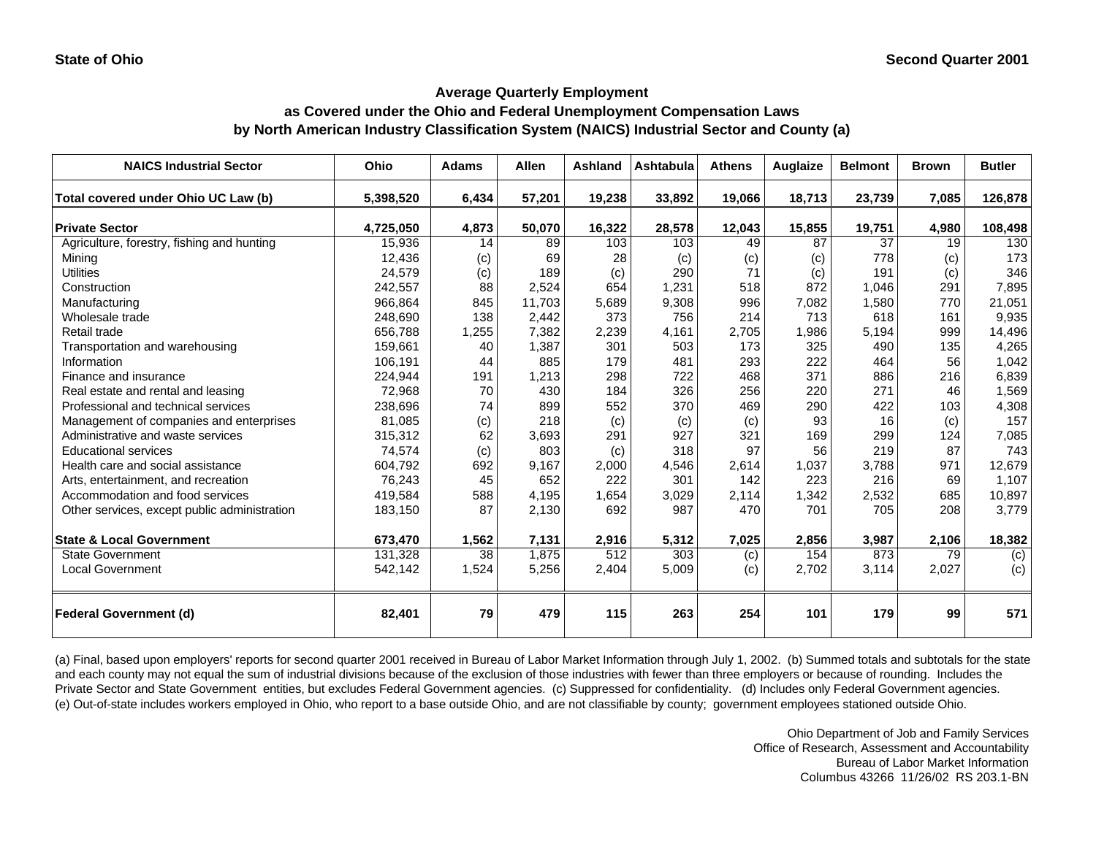# **as Covered under the Ohio and Federal Unemployment Compensation Laws by North American Industry Classification System (NAICS) Industrial Sector and County (a)**

| <b>NAICS Industrial Sector</b>               | Ohio      | <b>Adams</b> | <b>Allen</b> | Ashland | Ashtabula | <b>Athens</b> | Auglaize | <b>Belmont</b> | <b>Brown</b> | <b>Butler</b> |
|----------------------------------------------|-----------|--------------|--------------|---------|-----------|---------------|----------|----------------|--------------|---------------|
| Total covered under Ohio UC Law (b)          | 5,398,520 | 6,434        | 57,201       | 19,238  | 33,892    | 19,066        | 18,713   | 23,739         | 7,085        | 126,878       |
| <b>Private Sector</b>                        | 4,725,050 | 4,873        | 50,070       | 16,322  | 28,578    | 12,043        | 15,855   | 19,751         | 4,980        | 108,498       |
| Agriculture, forestry, fishing and hunting   | 15,936    | 14           | 89           | 103     | 103       | 49            | 87       | 37             | 19           | 130           |
| Minina                                       | 12,436    | (c)          | 69           | 28      | (c)       | (c)           | (c)      | 778            | (c)          | 173           |
| <b>Utilities</b>                             | 24,579    | (c)          | 189          | (c)     | 290       | 71            | (c)      | 191            | (c)          | 346           |
| Construction                                 | 242,557   | 88           | 2,524        | 654     | 1,231     | 518           | 872      | 1,046          | 291          | 7,895         |
| Manufacturing                                | 966,864   | 845          | 11,703       | 5,689   | 9,308     | 996           | 7,082    | 1,580          | 770          | 21,051        |
| Wholesale trade                              | 248,690   | 138          | 2,442        | 373     | 756       | 214           | 713      | 618            | 161          | 9,935         |
| Retail trade                                 | 656,788   | 1,255        | 7,382        | 2,239   | 4,161     | 2,705         | 1,986    | 5,194          | 999          | 14,496        |
| Transportation and warehousing               | 159,661   | 40           | 1,387        | 301     | 503       | 173           | 325      | 490            | 135          | 4,265         |
| Information                                  | 106,191   | 44           | 885          | 179     | 481       | 293           | 222      | 464            | 56           | 1,042         |
| Finance and insurance                        | 224,944   | 191          | 1,213        | 298     | 722       | 468           | 371      | 886            | 216          | 6,839         |
| Real estate and rental and leasing           | 72,968    | 70           | 430          | 184     | 326       | 256           | 220      | 271            | 46           | 1,569         |
| Professional and technical services          | 238,696   | 74           | 899          | 552     | 370       | 469           | 290      | 422            | 103          | 4,308         |
| Management of companies and enterprises      | 81,085    | (c)          | 218          | (c)     | (c)       | (c)           | 93       | 16             | (c)          | 157           |
| Administrative and waste services            | 315,312   | 62           | 3,693        | 291     | 927       | 321           | 169      | 299            | 124          | 7,085         |
| <b>Educational services</b>                  | 74,574    | (c)          | 803          | (c)     | 318       | 97            | 56       | 219            | 87           | 743           |
| Health care and social assistance            | 604,792   | 692          | 9,167        | 2,000   | 4,546     | 2,614         | 1,037    | 3,788          | 971          | 12,679        |
| Arts, entertainment, and recreation          | 76,243    | 45           | 652          | 222     | 301       | 142           | 223      | 216            | 69           | 1,107         |
| Accommodation and food services              | 419,584   | 588          | 4,195        | 1,654   | 3,029     | 2,114         | 1,342    | 2,532          | 685          | 10,897        |
| Other services, except public administration | 183,150   | 87           | 2,130        | 692     | 987       | 470           | 701      | 705            | 208          | 3,779         |
| <b>State &amp; Local Government</b>          | 673,470   | 1,562        | 7,131        | 2,916   | 5,312     | 7,025         | 2,856    | 3,987          | 2,106        | 18,382        |
| <b>State Government</b>                      | 131,328   | 38           | 1,875        | 512     | 303       | (c)           | 154      | 873            | 79           | (c)           |
| <b>Local Government</b>                      | 542,142   | 1,524        | 5,256        | 2,404   | 5,009     | (c)           | 2,702    | 3,114          | 2,027        | (c)           |
| <b>Federal Government (d)</b>                | 82,401    | 79           | 479          | 115     | 263       | 254           | 101      | 179            | 99           | 571           |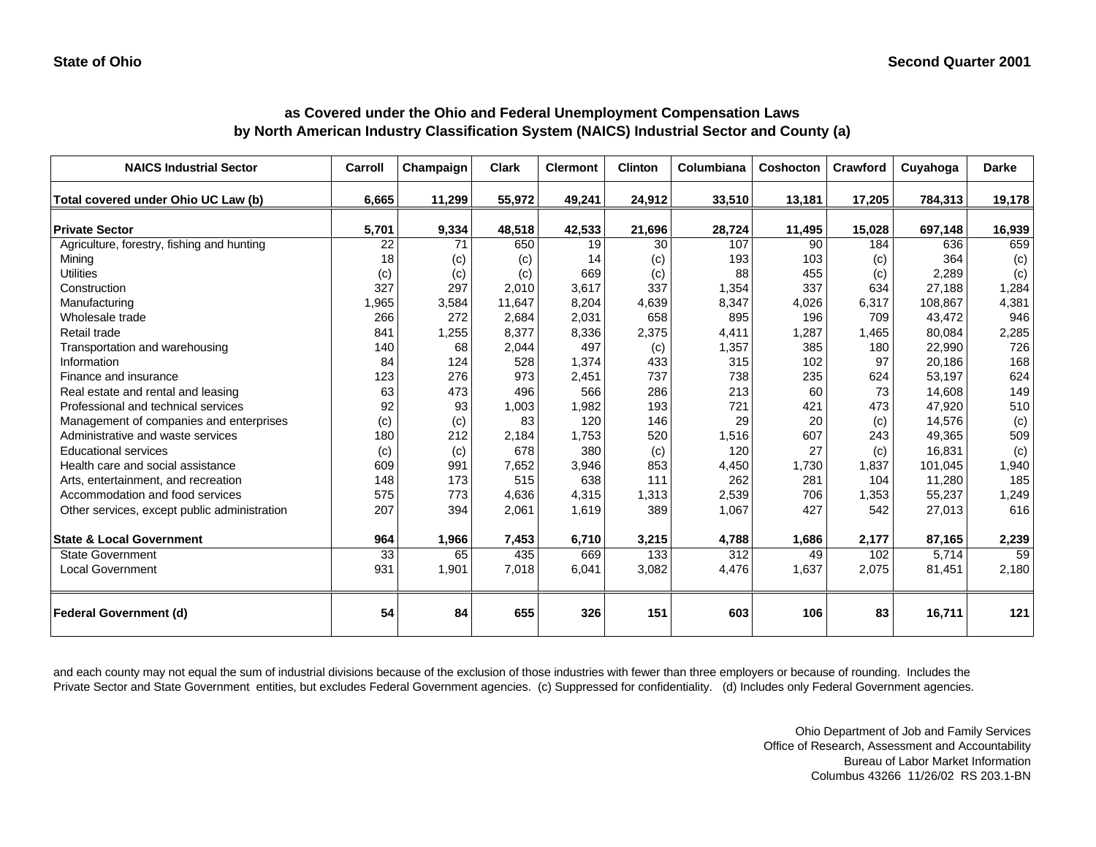| <b>NAICS Industrial Sector</b>               | Carroll         | Champaign | <b>Clark</b> | <b>Clermont</b> | <b>Clinton</b> | Columbiana | Coshocton | Crawford | Cuyahoga | <b>Darke</b> |
|----------------------------------------------|-----------------|-----------|--------------|-----------------|----------------|------------|-----------|----------|----------|--------------|
| Total covered under Ohio UC Law (b)          | 6,665           | 11,299    | 55,972       | 49,241          | 24,912         | 33,510     | 13,181    | 17,205   | 784,313  | 19,178       |
| <b>Private Sector</b>                        | 5,701           | 9,334     | 48,518       | 42,533          | 21,696         | 28,724     | 11,495    | 15,028   | 697,148  | 16,939       |
| Agriculture, forestry, fishing and hunting   | 22              | 71        | 650          | 19              | 30             | 107        | 90        | 184      | 636      | 659          |
| Mining                                       | 18              | (c)       | (c)          | 14              | (c)            | 193        | 103       | (c)      | 364      | (c)          |
| <b>Utilities</b>                             | (c)             | (c)       | (c)          | 669             | (c)            | 88         | 455       | (c)      | 2,289    | (c)          |
| Construction                                 | 327             | 297       | 2,010        | 3,617           | 337            | 1,354      | 337       | 634      | 27,188   | 1,284        |
| Manufacturing                                | 1,965           | 3,584     | 11,647       | 8,204           | 4,639          | 8,347      | 4,026     | 6,317    | 108,867  | 4,381        |
| Wholesale trade                              | 266             | 272       | 2,684        | 2,031           | 658            | 895        | 196       | 709      | 43,472   | 946          |
| Retail trade                                 | 841             | 1,255     | 8,377        | 8,336           | 2,375          | 4,411      | 1,287     | 1,465    | 80,084   | 2,285        |
| Transportation and warehousing               | 140             | 68        | 2,044        | 497             | (c)            | 1,357      | 385       | 180      | 22,990   | 726          |
| Information                                  | 84              | 124       | 528          | 1,374           | 433            | 315        | 102       | 97       | 20,186   | 168          |
| Finance and insurance                        | 123             | 276       | 973          | 2,451           | 737            | 738        | 235       | 624      | 53,197   | 624          |
| Real estate and rental and leasing           | 63              | 473       | 496          | 566             | 286            | 213        | 60        | 73       | 14.608   | 149          |
| Professional and technical services          | 92              | 93        | 1,003        | 1,982           | 193            | 721        | 421       | 473      | 47,920   | 510          |
| Management of companies and enterprises      | (c)             | (c)       | 83           | 120             | 146            | 29         | 20        | (c)      | 14,576   | (c)          |
| Administrative and waste services            | 180             | 212       | 2,184        | 1,753           | 520            | 1,516      | 607       | 243      | 49,365   | 509          |
| <b>Educational services</b>                  | (c)             | (c)       | 678          | 380             | (c)            | 120        | 27        | (c)      | 16,831   | (c)          |
| Health care and social assistance            | 609             | 991       | 7,652        | 3,946           | 853            | 4,450      | 1,730     | 1,837    | 101.045  | 1,940        |
| Arts, entertainment, and recreation          | 148             | 173       | 515          | 638             | 111            | 262        | 281       | 104      | 11,280   | 185          |
| Accommodation and food services              | 575             | 773       | 4,636        | 4,315           | 1,313          | 2,539      | 706       | 1,353    | 55,237   | 1,249        |
| Other services, except public administration | 207             | 394       | 2,061        | 1,619           | 389            | 1,067      | 427       | 542      | 27,013   | 616          |
| <b>State &amp; Local Government</b>          | 964             | 1,966     | 7,453        | 6,710           | 3,215          | 4,788      | 1,686     | 2,177    | 87,165   | 2,239        |
| State Government                             | $\overline{33}$ | 65        | 435          | 669             | 133            | 312        | 49        | 102      | 5,714    | 59           |
| Local Government                             | 931             | 1,901     | 7,018        | 6,041           | 3,082          | 4,476      | 1,637     | 2,075    | 81,451   | 2,180        |
| <b>Federal Government (d)</b>                | 54              | 84        | 655          | 326             | 151            | 603        | 106       | 83       | 16,711   | 121          |

#### **as Covered under the Ohio and Federal Unemployment Compensation Laws by North American Industry Classification System (NAICS) Industrial Sector and County (a)**

and each county may not equal the sum of industrial divisions because of the exclusion of those industries with fewer than three employers or because of rounding. Includes the Private Sector and State Government entities, but excludes Federal Government agencies. (c) Suppressed for confidentiality. (d) Includes only Federal Government agencies.

> Ohio Department of Job and Family Services Office of Research, Assessment and Accountability Bureau of Labor Market Information Columbus 43266 11/26/02 RS 203.1-BN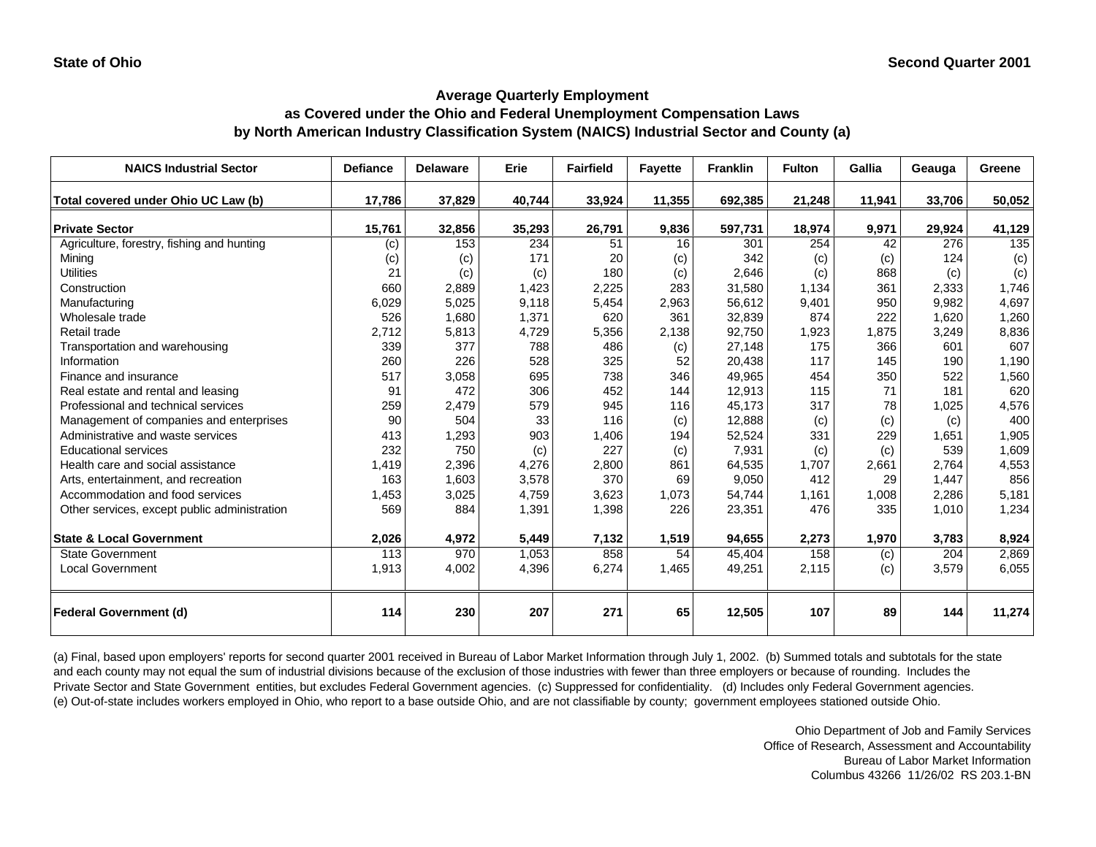## **Average Quarterly Employment as Covered under the Ohio and Federal Unemployment Compensation Laws by North American Industry Classification System (NAICS) Industrial Sector and County (a)**

| <b>NAICS Industrial Sector</b>               | <b>Defiance</b> | <b>Delaware</b> | Erie   | <b>Fairfield</b> | <b>Fayette</b> | <b>Franklin</b> | <b>Fulton</b> | Gallia | Geauga | Greene |
|----------------------------------------------|-----------------|-----------------|--------|------------------|----------------|-----------------|---------------|--------|--------|--------|
| Total covered under Ohio UC Law (b)          | 17,786          | 37,829          | 40,744 | 33,924           | 11,355         | 692,385         | 21,248        | 11,941 | 33,706 | 50,052 |
| <b>Private Sector</b>                        | 15,761          | 32,856          | 35,293 | 26,791           | 9,836          | 597,731         | 18,974        | 9,971  | 29,924 | 41,129 |
| Agriculture, forestry, fishing and hunting   | (c)             | 153             | 234    | 51               | 16             | 301             | 254           | 42     | 276    | 135    |
| Mining                                       | (c)             | (c)             | 171    | 20               | (c)            | 342             | (c)           | (c)    | 124    | (c)    |
| <b>Utilities</b>                             | 21              | (c)             | (c)    | 180              | (c)            | 2,646           | (c)           | 868    | (c)    | (c)    |
| Construction                                 | 660             | 2,889           | 1,423  | 2,225            | 283            | 31,580          | 1,134         | 361    | 2,333  | 1,746  |
| Manufacturing                                | 6,029           | 5,025           | 9,118  | 5,454            | 2,963          | 56,612          | 9,401         | 950    | 9,982  | 4,697  |
| Wholesale trade                              | 526             | 1,680           | 1,371  | 620              | 361            | 32,839          | 874           | 222    | 1,620  | 1,260  |
| Retail trade                                 | 2,712           | 5,813           | 4,729  | 5,356            | 2,138          | 92,750          | 1,923         | 1.875  | 3,249  | 8,836  |
| Transportation and warehousing               | 339             | 377             | 788    | 486              | (c)            | 27,148          | 175           | 366    | 601    | 607    |
| Information                                  | 260             | 226             | 528    | 325              | 52             | 20,438          | 117           | 145    | 190    | 1,190  |
| Finance and insurance                        | 517             | 3,058           | 695    | 738              | 346            | 49,965          | 454           | 350    | 522    | 1,560  |
| Real estate and rental and leasing           | 91              | 472             | 306    | 452              | 144            | 12,913          | 115           | 71     | 181    | 620    |
| Professional and technical services          | 259             | 2,479           | 579    | 945              | 116            | 45,173          | 317           | 78     | 1,025  | 4,576  |
| Management of companies and enterprises      | 90              | 504             | 33     | 116              | (c)            | 12,888          | (c)           | (c)    | (c)    | 400    |
| Administrative and waste services            | 413             | 1,293           | 903    | 1,406            | 194            | 52,524          | 331           | 229    | 1.651  | 1,905  |
| <b>Educational services</b>                  | 232             | 750             | (c)    | 227              | (c)            | 7,931           | (c)           | (c)    | 539    | 1,609  |
| Health care and social assistance            | 1,419           | 2,396           | 4,276  | 2,800            | 861            | 64,535          | 1,707         | 2,661  | 2,764  | 4,553  |
| Arts, entertainment, and recreation          | 163             | 1,603           | 3,578  | 370              | 69             | 9,050           | 412           | 29     | 1,447  | 856    |
| Accommodation and food services              | 1,453           | 3,025           | 4,759  | 3,623            | 1,073          | 54,744          | 1,161         | 1,008  | 2,286  | 5,181  |
| Other services, except public administration | 569             | 884             | 1,391  | 1,398            | 226            | 23,351          | 476           | 335    | 1,010  | 1,234  |
| <b>State &amp; Local Government</b>          | 2,026           | 4,972           | 5,449  | 7,132            | 1,519          | 94,655          | 2,273         | 1,970  | 3,783  | 8,924  |
| <b>State Government</b>                      | 113             | 970             | 1,053  | 858              | 54             | 45,404          | 158           | (c)    | 204    | 2,869  |
| <b>Local Government</b>                      | 1,913           | 4,002           | 4,396  | 6,274            | 1,465          | 49,251          | 2,115         | (c)    | 3,579  | 6,055  |
| <b>Federal Government (d)</b>                | 114             | 230             | 207    | 271              | 65             | 12,505          | 107           | 89     | 144    | 11,274 |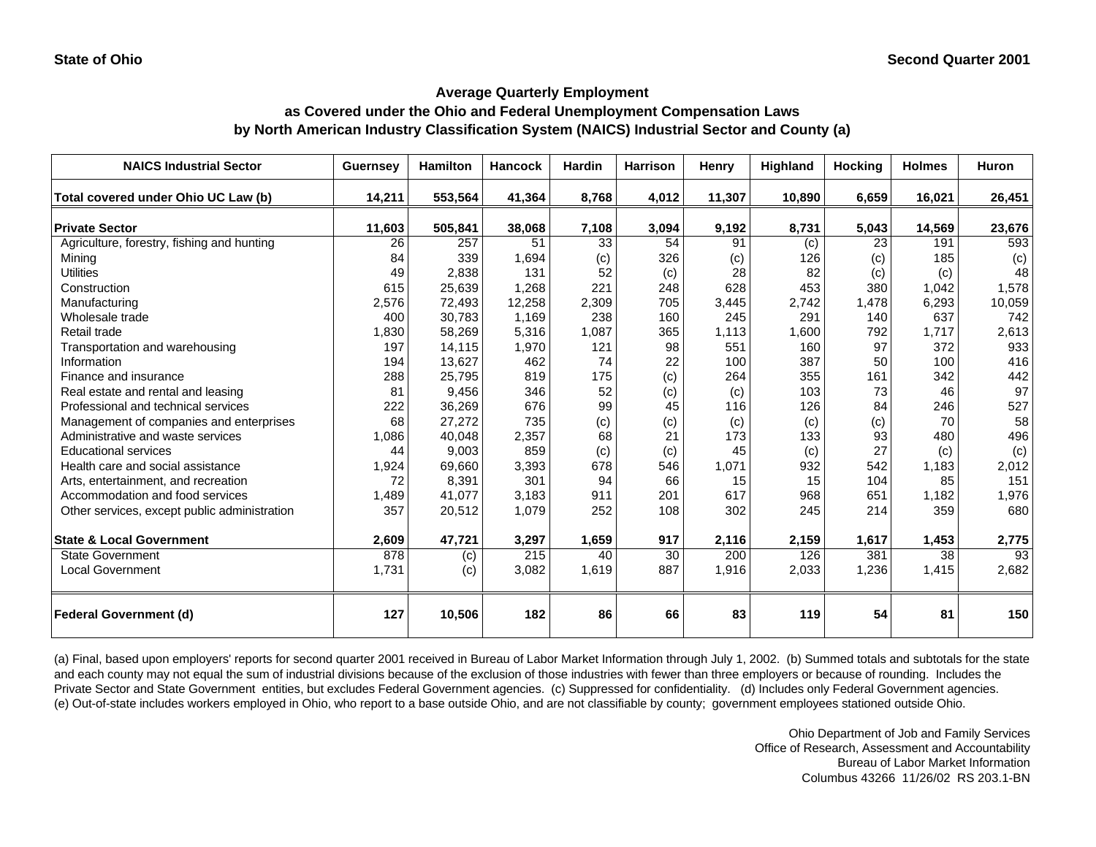## **as Covered under the Ohio and Federal Unemployment Compensation Laws by North American Industry Classification System (NAICS) Industrial Sector and County (a)**

| <b>NAICS Industrial Sector</b>               | <b>Guernsey</b> | <b>Hamilton</b> | <b>Hancock</b> | <b>Hardin</b> | <b>Harrison</b> | Henry  | Highland | <b>Hocking</b> | <b>Holmes</b> | <b>Huron</b> |
|----------------------------------------------|-----------------|-----------------|----------------|---------------|-----------------|--------|----------|----------------|---------------|--------------|
| Total covered under Ohio UC Law (b)          | 14,211          | 553,564         | 41,364         | 8,768         | 4,012           | 11,307 | 10,890   | 6,659          | 16,021        | 26,451       |
| <b>Private Sector</b>                        | 11,603          | 505,841         | 38,068         | 7,108         | 3,094           | 9,192  | 8,731    | 5,043          | 14,569        | 23,676       |
| Agriculture, forestry, fishing and hunting   | 26              | 257             | 51             | 33            | 54              | 91     | (c)      | 23             | 191           | 593          |
| Mining                                       | 84              | 339             | 1,694          | (c)           | 326             | (c)    | 126      | (c)            | 185           | (c)          |
| <b>Utilities</b>                             | 49              | 2,838           | 131            | 52            | (c)             | 28     | 82       | (c)            | (c)           | 48           |
| Construction                                 | 615             | 25,639          | 1,268          | 221           | 248             | 628    | 453      | 380            | 1,042         | 1,578        |
| Manufacturing                                | 2,576           | 72,493          | 12,258         | 2,309         | 705             | 3,445  | 2,742    | 1,478          | 6,293         | 10,059       |
| Wholesale trade                              | 400             | 30,783          | 1,169          | 238           | 160             | 245    | 291      | 140            | 637           | 742          |
| Retail trade                                 | 1,830           | 58,269          | 5,316          | 1,087         | 365             | 1,113  | 1,600    | 792            | 1,717         | 2,613        |
| Transportation and warehousing               | 197             | 14,115          | 1,970          | 121           | 98              | 551    | 160      | 97             | 372           | 933          |
| Information                                  | 194             | 13,627          | 462            | 74            | 22              | 100    | 387      | 50             | 100           | 416          |
| Finance and insurance                        | 288             | 25,795          | 819            | 175           | (c)             | 264    | 355      | 161            | 342           | 442          |
| Real estate and rental and leasing           | 81              | 9,456           | 346            | 52            | (c)             | (c)    | 103      | 73             | 46            | 97           |
| Professional and technical services          | 222             | 36,269          | 676            | 99            | 45              | 116    | 126      | 84             | 246           | 527          |
| Management of companies and enterprises      | 68              | 27,272          | 735            | (c)           | (c)             | (c)    | (c)      | (c)            | 70            | 58           |
| Administrative and waste services            | 1,086           | 40,048          | 2,357          | 68            | 21              | 173    | 133      | 93             | 480           | 496          |
| <b>Educational services</b>                  | 44              | 9,003           | 859            | (c)           | (c)             | 45     | (c)      | 27             | (c)           | (c)          |
| Health care and social assistance            | 1,924           | 69,660          | 3,393          | 678           | 546             | 1,071  | 932      | 542            | 1,183         | 2,012        |
| Arts, entertainment, and recreation          | 72              | 8,391           | 301            | 94            | 66              | 15     | 15       | 104            | 85            | 151          |
| Accommodation and food services              | 1,489           | 41,077          | 3,183          | 911           | 201             | 617    | 968      | 651            | 1,182         | 1,976        |
| Other services, except public administration | 357             | 20,512          | 1,079          | 252           | 108             | 302    | 245      | 214            | 359           | 680          |
| <b>State &amp; Local Government</b>          | 2,609           | 47,721          | 3,297          | 1,659         | 917             | 2,116  | 2,159    | 1,617          | 1,453         | 2,775        |
| <b>State Government</b>                      | 878             | (c)             | 215            | 40            | 30              | 200    | 126      | 381            | 38            | 93           |
| <b>Local Government</b>                      | 1,731           | (c)             | 3,082          | 1,619         | 887             | 1,916  | 2,033    | 1,236          | 1,415         | 2,682        |
| <b>Federal Government (d)</b>                | 127             | 10,506          | 182            | 86            | 66              | 83     | 119      | 54             | 81            | 150          |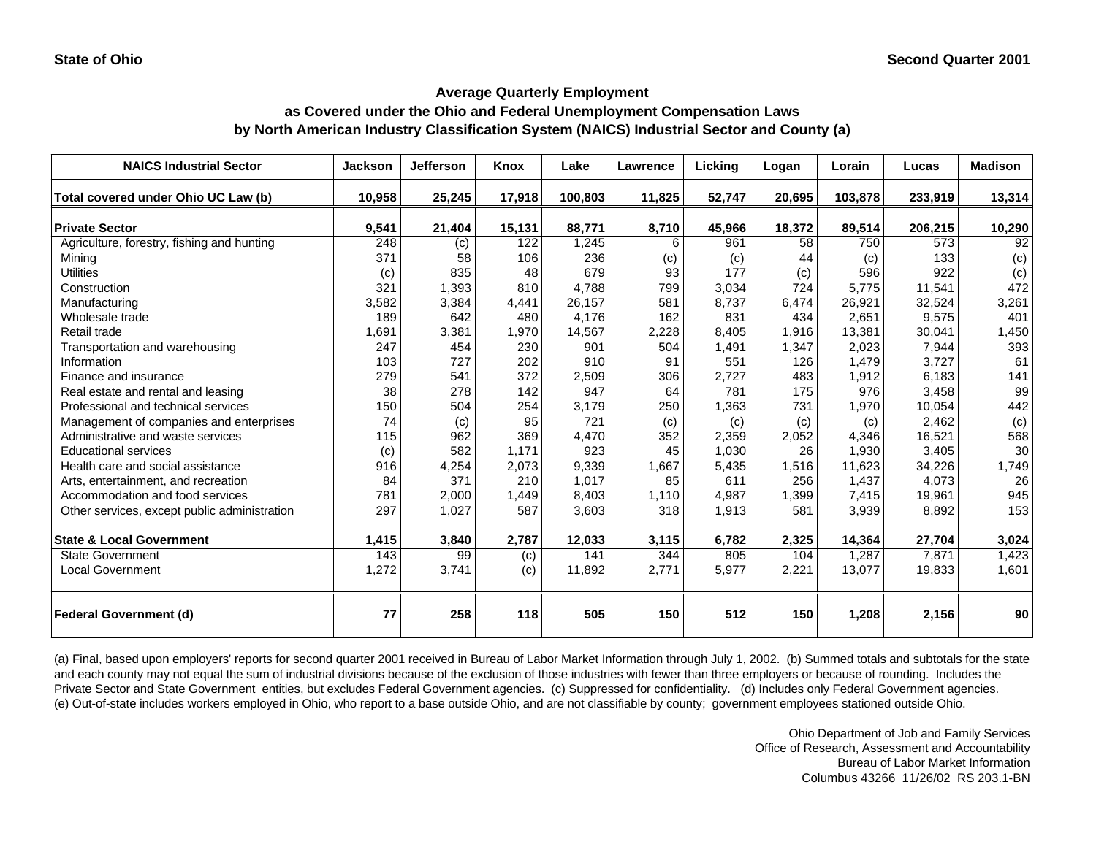## **as Covered under the Ohio and Federal Unemployment Compensation Laws by North American Industry Classification System (NAICS) Industrial Sector and County (a)**

| <b>NAICS Industrial Sector</b>               | Jackson | <b>Jefferson</b> | Knox   | Lake    | Lawrence | Licking | Logan  | Lorain  | Lucas   | <b>Madison</b> |
|----------------------------------------------|---------|------------------|--------|---------|----------|---------|--------|---------|---------|----------------|
| Total covered under Ohio UC Law (b)          | 10,958  | 25,245           | 17,918 | 100,803 | 11,825   | 52,747  | 20,695 | 103,878 | 233,919 | 13,314         |
| <b>Private Sector</b>                        | 9,541   | 21,404           | 15,131 | 88,771  | 8,710    | 45,966  | 18,372 | 89,514  | 206,215 | 10,290         |
| Agriculture, forestry, fishing and hunting   | 248     | (c)              | 122    | 1,245   | 6        | 961     | 58     | 750     | 573     | 92             |
| Minina                                       | 371     | 58               | 106    | 236     | (c)      | (c)     | 44     | (c)     | 133     | (c)            |
| <b>Utilities</b>                             | (c)     | 835              | 48     | 679     | 93       | 177     | (c)    | 596     | 922     | (c)            |
| Construction                                 | 321     | 1,393            | 810    | 4.788   | 799      | 3.034   | 724    | 5.775   | 11,541  | 472            |
| Manufacturing                                | 3,582   | 3,384            | 4,441  | 26,157  | 581      | 8,737   | 6,474  | 26,921  | 32,524  | 3,261          |
| Wholesale trade                              | 189     | 642              | 480    | 4.176   | 162      | 831     | 434    | 2,651   | 9,575   | 401            |
| Retail trade                                 | 1,691   | 3,381            | 1,970  | 14,567  | 2,228    | 8,405   | 1,916  | 13,381  | 30,041  | 1,450          |
| Transportation and warehousing               | 247     | 454              | 230    | 901     | 504      | 1,491   | 1,347  | 2,023   | 7,944   | 393            |
| Information                                  | 103     | 727              | 202    | 910     | 91       | 551     | 126    | 1,479   | 3,727   | 61             |
| Finance and insurance                        | 279     | 541              | 372    | 2,509   | 306      | 2,727   | 483    | 1,912   | 6,183   | 141            |
| Real estate and rental and leasing           | 38      | 278              | 142    | 947     | 64       | 781     | 175    | 976     | 3,458   | 99             |
| Professional and technical services          | 150     | 504              | 254    | 3,179   | 250      | 1,363   | 731    | 1,970   | 10,054  | 442            |
| Management of companies and enterprises      | 74      | (c)              | 95     | 721     | (c)      | (c)     | (c)    | (c)     | 2,462   | (c)            |
| Administrative and waste services            | 115     | 962              | 369    | 4,470   | 352      | 2,359   | 2,052  | 4,346   | 16,521  | 568            |
| <b>Educational services</b>                  | (c)     | 582              | 1,171  | 923     | 45       | 1,030   | 26     | 1,930   | 3,405   | 30             |
| Health care and social assistance            | 916     | 4,254            | 2,073  | 9,339   | 1,667    | 5,435   | 1,516  | 11,623  | 34,226  | 1,749          |
| Arts, entertainment, and recreation          | 84      | 371              | 210    | 1,017   | 85       | 611     | 256    | 1,437   | 4,073   | 26             |
| Accommodation and food services              | 781     | 2,000            | 1,449  | 8,403   | 1,110    | 4,987   | 1,399  | 7,415   | 19,961  | 945            |
| Other services, except public administration | 297     | 1,027            | 587    | 3,603   | 318      | 1,913   | 581    | 3,939   | 8,892   | 153            |
| <b>State &amp; Local Government</b>          | 1,415   | 3,840            | 2,787  | 12,033  | 3,115    | 6,782   | 2,325  | 14,364  | 27,704  | 3,024          |
| <b>State Government</b>                      | 143     | 99               | (c)    | 141     | 344      | 805     | 104    | 1,287   | 7,871   | 1,423          |
| <b>Local Government</b>                      | 1,272   | 3,741            | (c)    | 11,892  | 2,771    | 5,977   | 2,221  | 13,077  | 19,833  | 1,601          |
| <b>Federal Government (d)</b>                | 77      | 258              | 118    | 505     | 150      | 512     | 150    | 1,208   | 2,156   | 90             |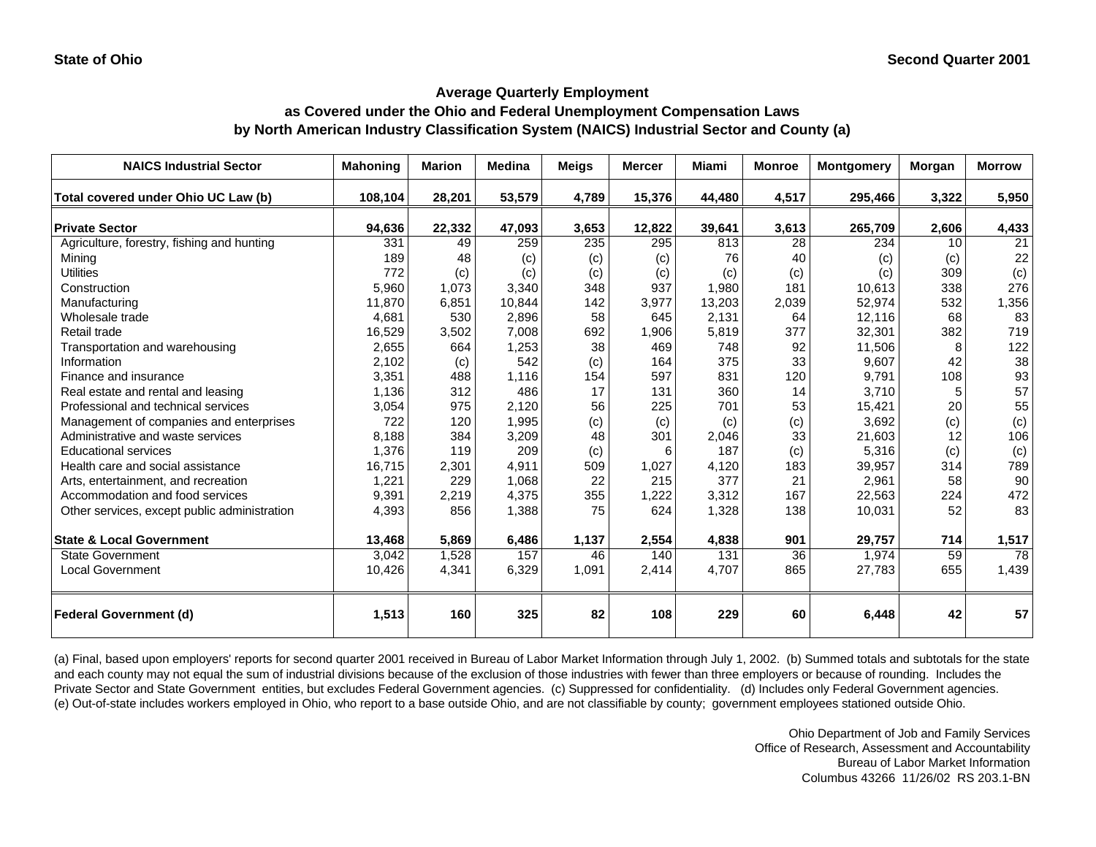## **as Covered under the Ohio and Federal Unemployment Compensation Laws by North American Industry Classification System (NAICS) Industrial Sector and County (a)**

| <b>NAICS Industrial Sector</b>               | <b>Mahoning</b> | <b>Marion</b> | <b>Medina</b> | <b>Meigs</b> | <b>Mercer</b> | Miami            | <b>Monroe</b> | <b>Montgomery</b> | Morgan | <b>Morrow</b> |
|----------------------------------------------|-----------------|---------------|---------------|--------------|---------------|------------------|---------------|-------------------|--------|---------------|
| Total covered under Ohio UC Law (b)          | 108,104         | 28,201        | 53,579        | 4,789        | 15,376        | 44,480           | 4,517         | 295,466           | 3,322  | 5,950         |
| <b>Private Sector</b>                        | 94,636          | 22,332        | 47,093        | 3,653        | 12,822        | 39,641           | 3,613         | 265,709           | 2,606  | 4,433         |
| Agriculture, forestry, fishing and hunting   | 331             | 49            | 259           | 235          | 295           | 813              | 28            | 234               | 10     | 21            |
| Minina                                       | 189             | 48            | (c)           | (c)          | (c)           | 76               | 40            | (c)               | (c)    | 22            |
| <b>Utilities</b>                             | 772             | (c)           | (c)           | (c)          | (c)           | (c)              | (c)           | (c)               | 309    | (c)           |
| Construction                                 | 5,960           | 1,073         | 3,340         | 348          | 937           | 1,980            | 181           | 10,613            | 338    | 276           |
| Manufacturing                                | 11,870          | 6,851         | 10,844        | 142          | 3,977         | 13,203           | 2,039         | 52,974            | 532    | 1,356         |
| Wholesale trade                              | 4,681           | 530           | 2,896         | 58           | 645           | 2,131            | 64            | 12,116            | 68     | 83            |
| Retail trade                                 | 16,529          | 3,502         | 7,008         | 692          | 1,906         | 5,819            | 377           | 32,301            | 382    | 719           |
| Transportation and warehousing               | 2,655           | 664           | 1,253         | 38           | 469           | 748              | 92            | 11,506            | 8      | 122           |
| Information                                  | 2,102           | (c)           | 542           | (c)          | 164           | 375              | 33            | 9,607             | 42     | 38            |
| Finance and insurance                        | 3,351           | 488           | 1,116         | 154          | 597           | 831              | 120           | 9,791             | 108    | 93            |
| Real estate and rental and leasing           | 1,136           | 312           | 486           | 17           | 131           | 360              | 14            | 3,710             | 5      | 57            |
| Professional and technical services          | 3,054           | 975           | 2,120         | 56           | 225           | 701              | 53            | 15,421            | 20     | 55            |
| Management of companies and enterprises      | 722             | 120           | 1,995         | (c)          | (c)           | (c)              | (c)           | 3,692             | (c)    | (c)           |
| Administrative and waste services            | 8,188           | 384           | 3,209         | 48           | 301           | 2,046            | 33            | 21,603            | 12     | 106           |
| <b>Educational services</b>                  | 1,376           | 119           | 209           | (c)          | 6             | 187              | (c)           | 5,316             | (c)    | (c)           |
| Health care and social assistance            | 16,715          | 2,301         | 4,911         | 509          | 1,027         | 4,120            | 183           | 39,957            | 314    | 789           |
| Arts, entertainment, and recreation          | 1,221           | 229           | 1,068         | 22           | 215           | 377              | 21            | 2,961             | 58     | 90            |
| Accommodation and food services              | 9,391           | 2,219         | 4,375         | 355          | 1,222         | 3,312            | 167           | 22,563            | 224    | 472           |
| Other services, except public administration | 4,393           | 856           | 1,388         | 75           | 624           | 1,328            | 138           | 10,031            | 52     | 83            |
| <b>State &amp; Local Government</b>          | 13,468          | 5,869         | 6,486         | 1,137        | 2,554         | 4,838            | 901           | 29,757            | 714    | 1,517         |
| State Government                             | 3,042           | 1,528         | 157           | 46           | 140           | $\overline{131}$ | 36            | 1,974             | 59     | 78            |
| <b>Local Government</b>                      | 10,426          | 4,341         | 6,329         | 1,091        | 2,414         | 4,707            | 865           | 27,783            | 655    | 1,439         |
| <b>Federal Government (d)</b>                | 1,513           | 160           | 325           | 82           | 108           | 229              | 60            | 6,448             | 42     | 57            |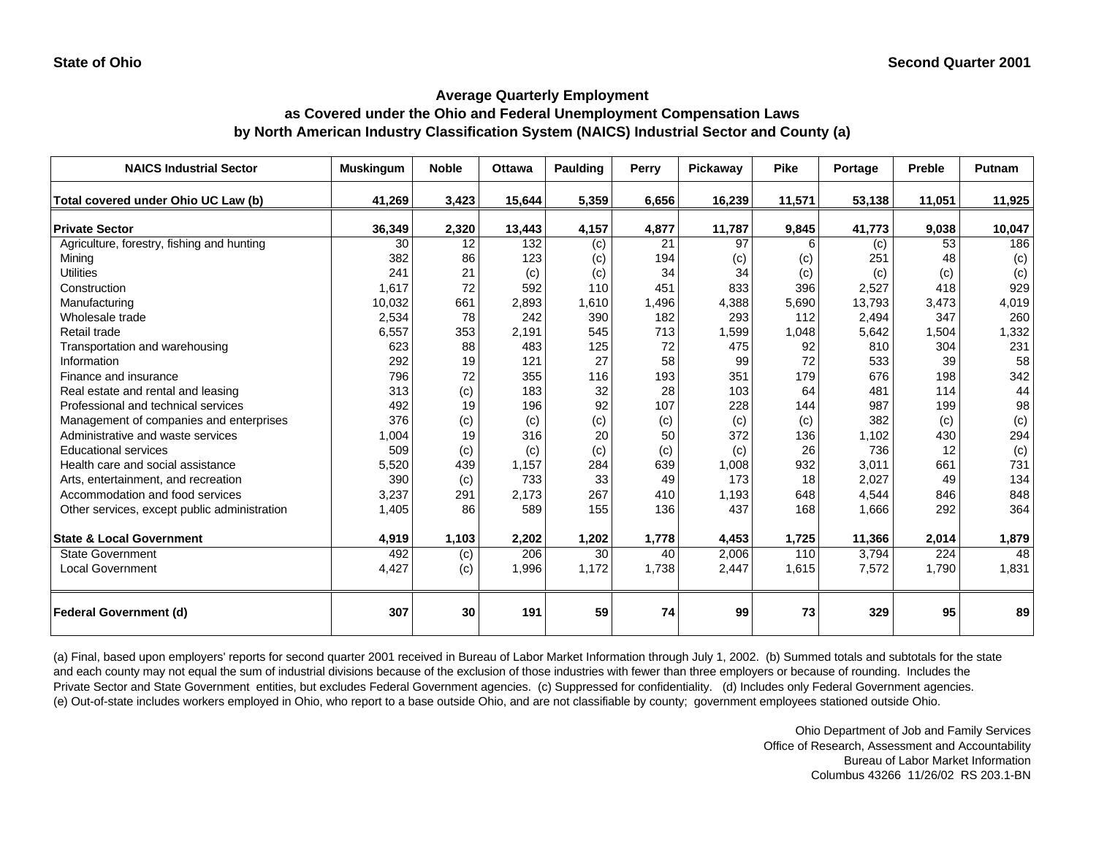## **as Covered under the Ohio and Federal Unemployment Compensation Laws by North American Industry Classification System (NAICS) Industrial Sector and County (a)**

| <b>NAICS Industrial Sector</b>               | <b>Muskingum</b> | <b>Noble</b> | <b>Ottawa</b> | Paulding       | Perry | Pickaway        | <b>Pike</b> | Portage | Preble | <b>Putnam</b> |
|----------------------------------------------|------------------|--------------|---------------|----------------|-------|-----------------|-------------|---------|--------|---------------|
| Total covered under Ohio UC Law (b)          | 41,269           | 3,423        | 15,644        | 5,359          | 6,656 | 16,239          | 11,571      | 53,138  | 11,051 | 11,925        |
| <b>Private Sector</b>                        | 36,349           | 2,320        | 13,443        | 4,157          | 4,877 | 11,787          | 9,845       | 41,773  | 9,038  | 10,047        |
| Agriculture, forestry, fishing and hunting   | 30               | 12           | 132           | $\overline{c}$ | 21    | $\overline{97}$ |             | (c)     | 53     | 186           |
| Mining                                       | 382              | 86           | 123           | (c)            | 194   | (c)             | (c)         | 251     | 48     | (c)           |
| <b>Utilities</b>                             | 241              | 21           | (c)           | (c)            | 34    | 34              | (c)         | (c)     | (c)    | (c)           |
| Construction                                 | 1.617            | 72           | 592           | 110            | 451   | 833             | 396         | 2,527   | 418    | 929           |
| Manufacturing                                | 10,032           | 661          | 2,893         | 1,610          | 1,496 | 4,388           | 5,690       | 13,793  | 3,473  | 4,019         |
| Wholesale trade                              | 2,534            | 78           | 242           | 390            | 182   | 293             | 112         | 2,494   | 347    | 260           |
| Retail trade                                 | 6,557            | 353          | 2,191         | 545            | 713   | 1,599           | 1,048       | 5,642   | 1,504  | 1,332         |
| Transportation and warehousing               | 623              | 88           | 483           | 125            | 72    | 475             | 92          | 810     | 304    | 231           |
| Information                                  | 292              | 19           | 121           | 27             | 58    | 99              | 72          | 533     | 39     | 58            |
| Finance and insurance                        | 796              | 72           | 355           | 116            | 193   | 351             | 179         | 676     | 198    | 342           |
| Real estate and rental and leasing           | 313              | (c)          | 183           | 32             | 28    | 103             | 64          | 481     | 114    | 44            |
| Professional and technical services          | 492              | 19           | 196           | 92             | 107   | 228             | 144         | 987     | 199    | 98            |
| Management of companies and enterprises      | 376              | (c)          | (c)           | (c)            | (c)   | (c)             | (c)         | 382     | (c)    | (c)           |
| Administrative and waste services            | 1,004            | 19           | 316           | 20             | 50    | 372             | 136         | 1.102   | 430    | 294           |
| <b>Educational services</b>                  | 509              | (c)          | (c)           | (c)            | (c)   | (c)             | 26          | 736     | 12     | (c)           |
| Health care and social assistance            | 5,520            | 439          | 1,157         | 284            | 639   | 1,008           | 932         | 3,011   | 661    | 731           |
| Arts, entertainment, and recreation          | 390              | (c)          | 733           | 33             | 49    | 173             | 18          | 2,027   | 49     | 134           |
| Accommodation and food services              | 3,237            | 291          | 2,173         | 267            | 410   | 1,193           | 648         | 4,544   | 846    | 848           |
| Other services, except public administration | 1,405            | 86           | 589           | 155            | 136   | 437             | 168         | 1,666   | 292    | 364           |
| <b>State &amp; Local Government</b>          | 4,919            | 1,103        | 2,202         | 1,202          | 1,778 | 4,453           | 1,725       | 11,366  | 2,014  | 1,879         |
| <b>State Government</b>                      | 492              | (c)          | 206           | 30             | 40    | 2,006           | 110         | 3,794   | 224    | 48            |
| <b>Local Government</b>                      | 4,427            | (c)          | 1,996         | 1,172          | 1,738 | 2,447           | 1,615       | 7,572   | 1,790  | 1,831         |
| <b>Federal Government (d)</b>                | 307              | 30           | 191           | 59             | 74    | 99              | 73          | 329     | 95     | 89            |

(a) Final, based upon employers' reports for second quarter 2001 received in Bureau of Labor Market Information through July 1, 2002. (b) Summed totals and subtotals for the state and each county may not equal the sum of industrial divisions because of the exclusion of those industries with fewer than three employers or because of rounding. Includes the Private Sector and State Government entities, but excludes Federal Government agencies. (c) Suppressed for confidentiality. (d) Includes only Federal Government agencies. (e) Out-of-state includes workers employed in Ohio, who report to a base outside Ohio, and are not classifiable by county; government employees stationed outside Ohio.

> Ohio Department of Job and Family Services Office of Research, Assessment and Accountability Bureau of Labor Market Information Columbus 43266 11/26/02 RS 203.1-BN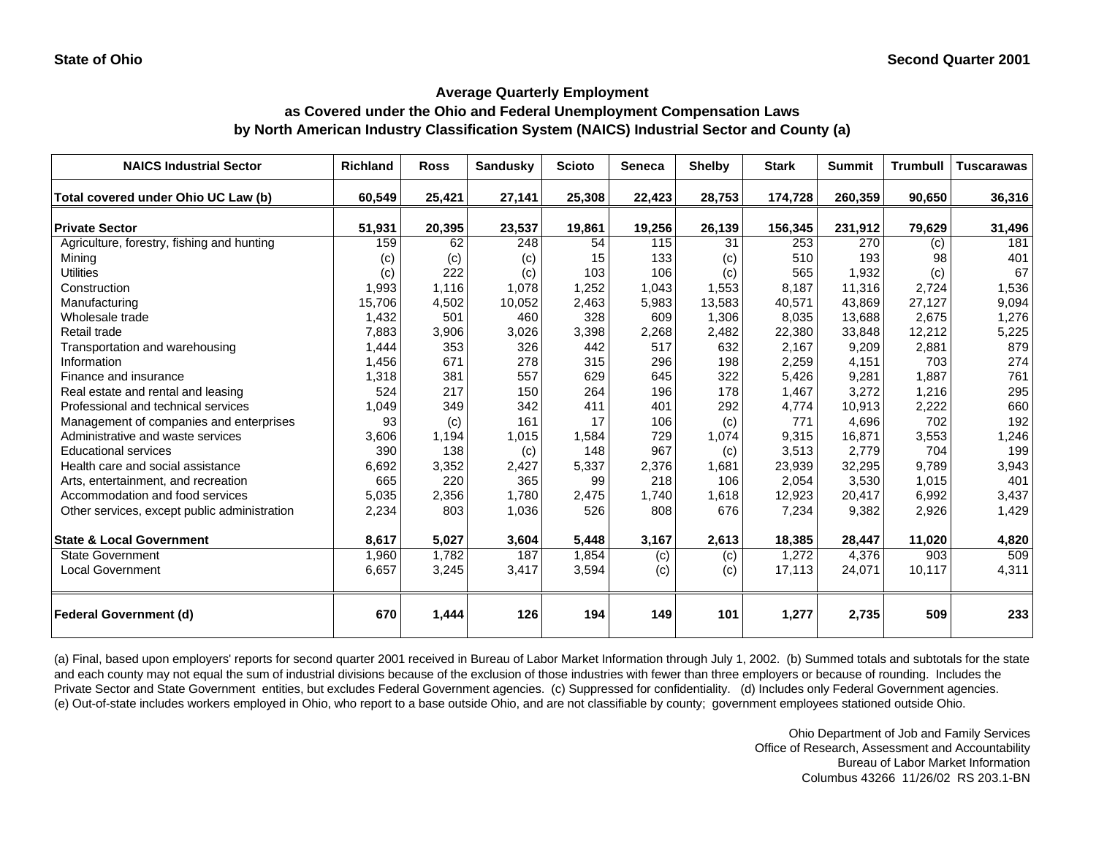## **as Covered under the Ohio and Federal Unemployment Compensation Laws by North American Industry Classification System (NAICS) Industrial Sector and County (a)**

| <b>NAICS Industrial Sector</b>               | <b>Richland</b> | <b>Ross</b> | <b>Sandusky</b> | <b>Scioto</b> | <b>Seneca</b> | <b>Shelby</b> | <b>Stark</b> | <b>Summit</b> | <b>Trumbull</b>  | <b>Tuscarawas</b> |
|----------------------------------------------|-----------------|-------------|-----------------|---------------|---------------|---------------|--------------|---------------|------------------|-------------------|
| Total covered under Ohio UC Law (b)          | 60,549          | 25,421      | 27,141          | 25,308        | 22,423        | 28,753        | 174,728      | 260,359       | 90,650           | 36,316            |
| <b>Private Sector</b>                        | 51,931          | 20,395      | 23,537          | 19,861        | 19,256        | 26,139        | 156,345      | 231,912       | 79,629           | 31,496            |
| Agriculture, forestry, fishing and hunting   | 159             | 62          | 248             | 54            | 115           | 31            | 253          | 270           | (c)              | 181               |
| Minina                                       | (c)             | (c)         | (c)             | 15            | 133           | (c)           | 510          | 193           | 98               | 401               |
| <b>Utilities</b>                             | (c)             | 222         | (c)             | 103           | 106           | (c)           | 565          | 1,932         | (c)              | 67                |
| Construction                                 | 1,993           | 1,116       | 1.078           | 1,252         | 1,043         | 1,553         | 8.187        | 11.316        | 2,724            | 1,536             |
| Manufacturing                                | 15,706          | 4,502       | 10,052          | 2,463         | 5,983         | 13,583        | 40,571       | 43,869        | 27,127           | 9,094             |
| Wholesale trade                              | 1,432           | 501         | 460             | 328           | 609           | 1,306         | 8,035        | 13,688        | 2,675            | 1,276             |
| Retail trade                                 | 7,883           | 3,906       | 3,026           | 3,398         | 2,268         | 2,482         | 22,380       | 33,848        | 12,212           | 5,225             |
| Transportation and warehousing               | 1,444           | 353         | 326             | 442           | 517           | 632           | 2,167        | 9,209         | 2,881            | 879               |
| Information                                  | 1,456           | 671         | 278             | 315           | 296           | 198           | 2,259        | 4,151         | 703              | 274               |
| Finance and insurance                        | 1,318           | 381         | 557             | 629           | 645           | 322           | 5,426        | 9,281         | 1,887            | 761               |
| Real estate and rental and leasing           | 524             | 217         | 150             | 264           | 196           | 178           | 1,467        | 3,272         | 1,216            | 295               |
| Professional and technical services          | 1,049           | 349         | 342             | 411           | 401           | 292           | 4,774        | 10,913        | 2,222            | 660               |
| Management of companies and enterprises      | 93              | (c)         | 161             | 17            | 106           | (c)           | 771          | 4,696         | 702              | 192               |
| Administrative and waste services            | 3,606           | 1,194       | 1,015           | 1,584         | 729           | 1,074         | 9,315        | 16,871        | 3,553            | 1,246             |
| <b>Educational services</b>                  | 390             | 138         | (c)             | 148           | 967           | (c)           | 3,513        | 2,779         | 704              | 199               |
| Health care and social assistance            | 6,692           | 3,352       | 2,427           | 5,337         | 2,376         | 1,681         | 23,939       | 32,295        | 9,789            | 3,943             |
| Arts, entertainment, and recreation          | 665             | 220         | 365             | 99            | 218           | 106           | 2,054        | 3,530         | 1,015            | 401               |
| Accommodation and food services              | 5,035           | 2,356       | 1,780           | 2,475         | 1,740         | 1,618         | 12,923       | 20,417        | 6,992            | 3,437             |
| Other services, except public administration | 2,234           | 803         | 1,036           | 526           | 808           | 676           | 7,234        | 9,382         | 2,926            | 1,429             |
| <b>State &amp; Local Government</b>          | 8,617           | 5,027       | 3,604           | 5,448         | 3,167         | 2,613         | 18,385       | 28,447        | 11,020           | 4,820             |
| <b>State Government</b>                      | 1,960           | 1,782       | 187             | 1,854         | (c)           | (c)           | 1,272        | 4,376         | $\overline{903}$ | 509               |
| <b>Local Government</b>                      | 6,657           | 3,245       | 3,417           | 3,594         | (c)           | (c)           | 17,113       | 24,071        | 10,117           | 4,311             |
| <b>Federal Government (d)</b>                | 670             | 1,444       | 126             | 194           | 149           | 101           | 1,277        | 2,735         | 509              | 233               |